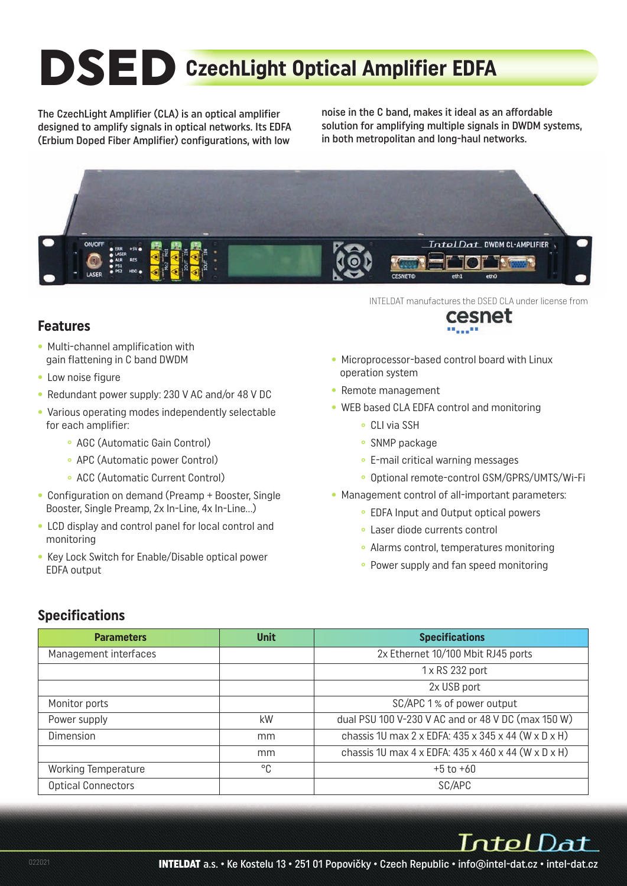# **DSED CzechLight Optical Amplifier EDFA**

The CzechLight Amplifier (CLA) is an optical amplifier designed to amplify signals in optical networks. Its EDFA (Erbium Doped Fiber Amplifier) configurations, with low

noise in the C band, makes it ideal as an affordable solution for amplifying multiple signals in DWDM systems, in both metropolitan and long-haul networks.



#### **Features**

- Multi-channel amplification with gain flattening in C band DWDM
- Low noise figure
- Redundant power supply: 230 V AC and/or 48 V DC
- Various operating modes independently selectable for each amplifier:
	- **°** AGC (Automatic Gain Control)
	- **°** APC (Automatic power Control)
	- **°** ACC (Automatic Current Control)
- Configuration on demand (Preamp + Booster, Single Booster, Single Preamp, 2x In-Line, 4x In-Line…)
- LCD display and control panel for local control and monitoring
- Key Lock Switch for Enable/Disable optical power EDFA output

INTELDAT manufactures the DSED CLA under license from



- Microprocessor-based control board with Linux operation system
- Remote management
- WEB based CLA EDFA control and monitoring
	- **°** CLI via SSH
	- **°** SNMP package
	- **°** E-mail critical warning messages
	- **°** Optional remote-control GSM/GPRS/UMTS/Wi-Fi
- Management control of all-important parameters:
	- **°** EDFA Input and Output optical powers
	- **°** Laser diode currents control
	- **°** Alarms control, temperatures monitoring
	- **°** Power supply and fan speed monitoring

#### **Specifications**

| <b>Parameters</b>          | <b>Unit</b> | <b>Specifications</b>                                                                |
|----------------------------|-------------|--------------------------------------------------------------------------------------|
| Management interfaces      |             | 2x Ethernet 10/100 Mbit RJ45 ports                                                   |
|                            |             | 1 x RS 232 port                                                                      |
|                            |             | 2x USB port                                                                          |
| Monitor ports              |             | SC/APC 1% of power output                                                            |
| Power supply               | kW          | dual PSU 100 V-230 V AC and or 48 V DC (max 150 W)                                   |
| Dimension                  | mm          | chassis 1U max 2 x EDFA: 435 x 345 x 44 (W x D x H)                                  |
|                            | mm          | chassis 1U max $4 \times$ EDFA: $435 \times 460 \times 44$ (W $\times$ D $\times$ H) |
| <b>Working Temperature</b> | °C          | $+5$ to $+60$                                                                        |
| <b>Optical Connectors</b>  |             | SC/APC                                                                               |